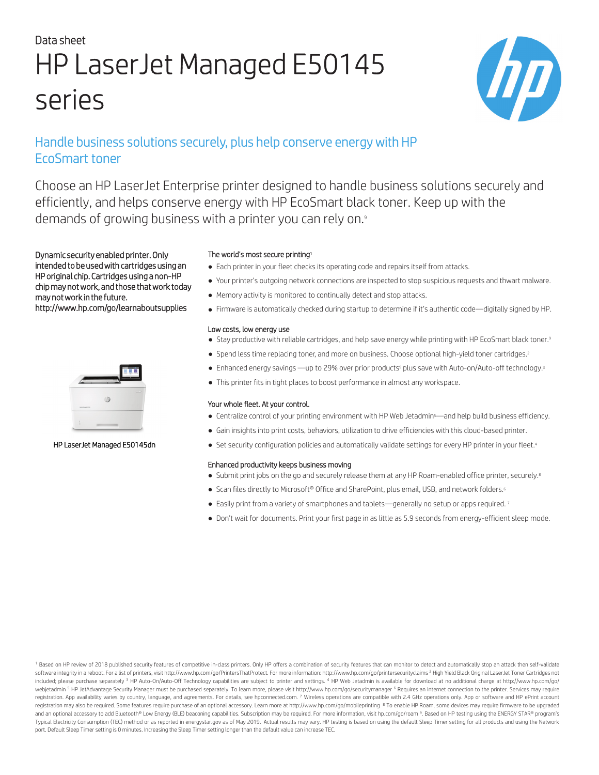# Data sheet HP LaserJet Managed E50145 series



# Handle business solutions securely, plus help conserve energy with HP EcoSmart toner

Choose an HP LaserJet Enterprise printer designed to handle business solutions securely and efficiently, and helps conserve energy with HP EcoSmart black toner. Keep up with the demands of growing business with a printer you can rely on.<sup>9</sup>

Dynamic security enabled printer. Only intended to be used with cartridges using an HP original chip. Cartridges using a non-HP chip may not work, and those that work today may not work in the future. http://www.hp.com/go/learnaboutsupplies



### HP LaserJet Managed E50145dn

### The world's most secure printing<sup>1</sup>

- Each printer in your fleet checks its operating code and repairs itself from attacks.
- Your printer's outgoing network connections are inspected to stop suspicious requests and thwart malware.
- Memory activity is monitored to continually detect and stop attacks.
- Firmware is automatically checked during startup to determine if it's authentic code—digitally signed by HP.

### Low costs, low energy use

- Stay productive with reliable cartridges, and help save energy while printing with HP EcoSmart black toner.<sup>9</sup>
- Spend less time replacing toner, and more on business. Choose optional high-yield toner cartridges.<sup>2</sup>
- Enhanced energy savings —up to 29% over prior products<sup>9</sup> plus save with Auto-on/Auto-off technology.<sup>3</sup>
- This printer fits in tight places to boost performance in almost any workspace.

### Your whole fleet. At your control.

- Centralize control of your printing environment with HP Web Jetadmin5—and help build business efficiency.
- Gain insights into print costs, behaviors, utilization to drive efficiencies with this cloud-based printer.
- Set security configuration policies and automatically validate settings for every HP printer in your fleet.<sup>4</sup>

### Enhanced productivity keeps business moving

- Submit print jobs on the go and securely release them at any HP Roam-enabled office printer, securely.<sup>8</sup>
- Scan files directly to Microsoft® Office and SharePoint, plus email, USB, and network folders.<sup>6</sup>
- Easily print from a variety of smartphones and tablets—generally no setup or apps required. 7
- Don't wait for documents. Print your first page in as little as 5.9 seconds from energy-efficient sleep mode.

<sup>1</sup> Based on HP review of 2018 published security features of competitive in-class printers. Only HP offers a combination of security features that can monitor to detect and automatically stop an attack then self-validate software integrity in a reboot. For a list of printers, visit http://www.hp.com/go/PrintersThatProtect. For more information: http://www.hp.com/go/printersecurityclaims <sup>2</sup> High Yield Black Original LaserJet Toner Cartridg included; please purchase separately <sup>3</sup> HP Auto-On/Auto-Off Technology capabilities are subject to printer and settings. <sup>4</sup> HP Web Jetadmin is available for download at no additional charge at http://www.hp.com/go/ webjetadmin <sup>5</sup> HP JetAdvantage Security Manager must be purchased separately. To learn more, please visit http://www.hp.com/go/securitymanager <sup>6</sup> Requires an Internet connection to the printer. Services may require registration. App availability varies by country, language, and agreements. For details, see hpconnected.com. 7 Wireless operations are compatible with 2.4 GHz operations only. App or software and HP ePrint account registration may also be required. Some features require purchase of an optional accessory. Learn more at http://www.hp.com/go/mobileprinting <sup>8</sup> To enable HP Roam, some devices may require firmware to be upgraded and an optional accessory to add Bluetooth® Low Energy (BLE) beaconing capabilities. Subscription may be required. For more in[formation, visit](http://hpconnected.com) hp.com/go/roam 9. Based on HP testing using the ENERGY STAR® program's Typical Electricity Consumption (TEC) method or as reported in energystar.gov as of May 2019. Actual results may vary. HP testing is based on using the default Sleep Timer setting for all products and using the Network port. Default Sleep Timer setting is 0 minutes. Increasing the Sleep Timer setting longer than the default value can increase TEC.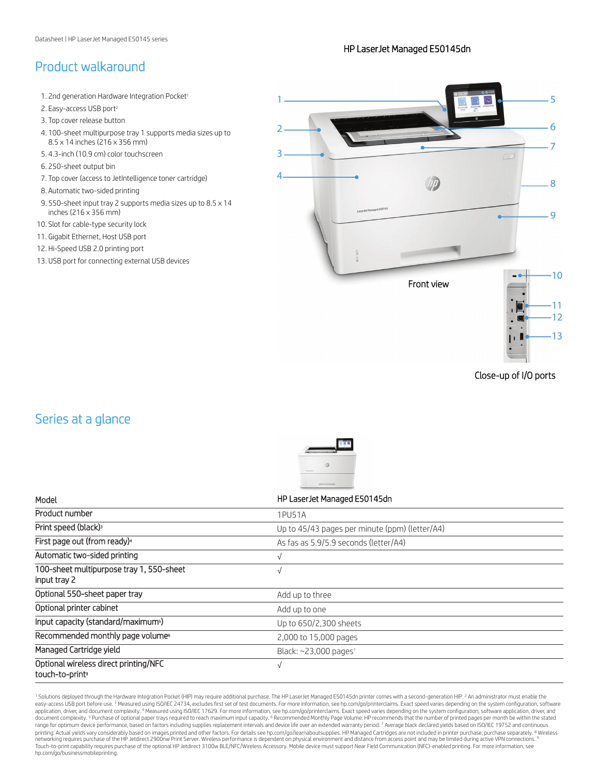# Product walkaround

- 1. 2nd generation Hardware Integration Pocket<sup>1</sup>
- 2. Easy-access USB port<sup>2</sup>
- 3. Top cover release button
- 4. 100-sheet multipurpose tray 1 supports media sizes up to 8.5 x 14 inches (216 x 356 mm)
- 5. 4.3-inch (10.9 cm) color touchscreen
- 6. 250-sheet output bin
- 7. Top cover (access to JetIntelligence toner cartridge)
- 8. Automatic two-sided printing
- 9. 550-sheet input tray 2 supports media sizes up to 8.5 x 14 inches (216 x 356 mm)
- 10. Slot for cable-type security lock
- 11. Gigabit Ethernet, Host USB port
- 12. Hi-Speed USB 2.0 printing port
- 13. USB port for connecting external USB devices



Close-up of I/O ports

# Series at a glance



<sup>1</sup> Solutions deployed through the Hardware Integration Pocket (HIP) may require additional purchase. The HP LaserJet Managed E50145dn printer comes with a second-generation HIP. <sup>2</sup> An administrator must enable the easy-access USB port before use.<sup>3</sup> Measured using ISO/IEC 24734, excludes first set of test documents. For more information, see [hp.com/go/printerclaims](http://hp.com/go/printerclaims). Exact speed varies depending on the system configuration, software application, driver, and document complexity. <sup>4</sup> Measured using ISO/IEC 17629. For more information, see [hp.com/go/printerclaims.](http://hp.com/go/printerclaims) Exact speed varies depending on the system configuration, software application, driver, and document complexity. <sup>5</sup> Purchase of optional paper trays required to reach maximum input capacity. <sup>6</sup> Recommended Monthly Page Volume: HP recommends that the number of printed pages per month be within the stated range for optimum device performance, based on factors including supplies replacement intervals [and device life over an extended](http://hp.com/go/learnaboutsupplies) warranty period. 7 Average black declared yields based on ISO/IEC 19752 and continuous printing. Actual yields vary considerably based on images printed and other factors. For details see hp.com/go/learnaboutsupplies. HP Managed Cartridges are not included in printer purchase; purchase separately. <sup>8</sup> Wirele [Touch-to-print capability requires p](http://hp.com/go/businessmobileprinting)urchase of the optional HP Jetdirect 3100w BLE/NFC/Wireless Accessory. Mobile device must support Near Field Communication (NFC)-enabled printing. For more information, see hp.com/go/businessmobileprinting.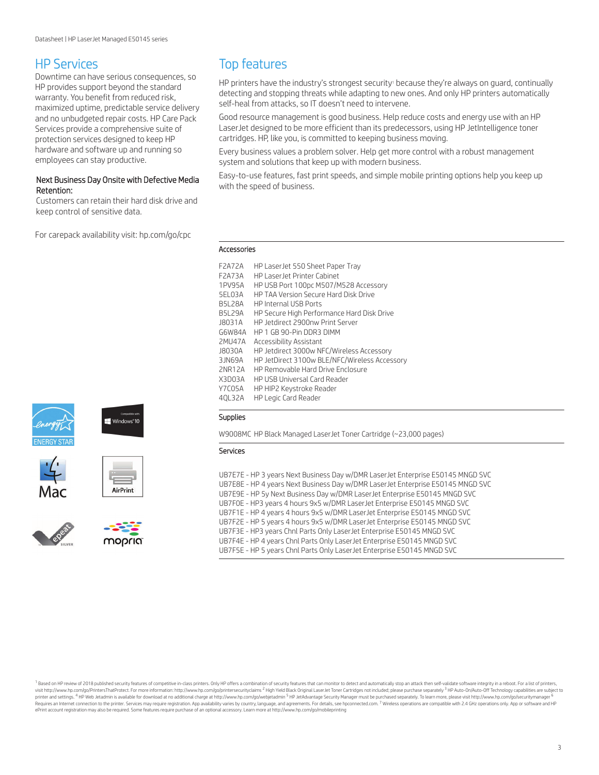### HP Services

Downtime can have serious consequences, so HP provides support beyond the standard warranty. You benefit from reduced risk, maximized uptime, predictable service delivery and no unbudgeted repair costs. HP Care Pack Services provide a comprehensive suite of protection services designed to keep HP hardware and software up and running so employees can stay productive.

### Next Business Day Onsite with Defective Media Retention:

Customers can retain their hard disk drive and keep control of sensitive data.

For carepack availability visit: [hp.com/go/cpc](http://hp.com/go/cpc)





AirPrint





# Top features

HP printers have the industry's strongest security<sup>1</sup> because they're always on guard, continually detecting and stopping threats while adapting to new ones. And only HP printers automatically self-heal from attacks, so IT doesn't need to intervene.

Good resource management is good business. Help reduce costs and energy use with an HP LaserJet designed to be more efficient than its predecessors, using HP JetIntelligence toner cartridges. HP, like you, is committed to keeping business moving.

Every business values a problem solver. Help get more control with a robust management system and solutions that keep up with modern business.

Easy-to-use features, fast print speeds, and simple mobile printing options help you keep up with the speed of business.

#### Accessories

| <b>F2A72A</b>  | HP LaserJet 550 Sheet Paper Tray              |
|----------------|-----------------------------------------------|
| F2A73A         | HP Laser let Printer Cabinet                  |
| 1PV95A         | HP USB Port 100pc M507/M528 Accessory         |
| 5FI 03A        | HP TAA Version Secure Hard Disk Drive         |
| <b>B5L28A</b>  | <b>HP Internal USB Ports</b>                  |
| <b>B5I 29A</b> | HP Secure High Performance Hard Disk Drive    |
| J8031A         | HP Jetdirect 2900nw Print Server              |
| G6W84A         | HP 1 GB 90-Pin DDR3 DIMM                      |
| <b>2MU47A</b>  | Accessibility Assistant                       |
| <b>J8030A</b>  | HP Jetdirect 3000w NFC/Wireless Accessory     |
| 3 IN69A        | HP JetDirect 3100w BLE/NFC/Wireless Accessory |
| <b>2NR12A</b>  | HP Removable Hard Drive Enclosure             |
| X3D03A         | HP USB Universal Card Reader                  |
| Y7C05A         | HP HIP2 Keystroke Reader                      |
| 40L32A         | <b>HP Legic Card Reader</b>                   |

### Supplies

W9008MC HP Black Managed LaserJet Toner Cartridge (~23,000 pages)

### Services

UB7E7E - HP 3 years Next Business Day w/DMR LaserJet Enterprise E50145 MNGD SVC UB7E8E - HP 4 years Next Business Day w/DMR LaserJet Enterprise E50145 MNGD SVC UB7E9E - HP 5y Next Business Day w/DMR LaserJet Enterprise E50145 MNGD SVC UB7F0E - HP3 years 4 hours 9x5 w/DMR LaserJet Enterprise E50145 MNGD SVC UB7F1E - HP 4 years 4 hours 9x5 w/DMR LaserJet Enterprise E50145 MNGD SVC UB7F2E - HP 5 years 4 hours 9x5 w/DMR LaserJet Enterprise E50145 MNGD SVC UB7F3E - HP3 years Chnl Parts Only LaserJet Enterprise E50145 MNGD SVC UB7F4E - HP 4 years Chnl Parts Only LaserJet Enterprise E50145 MNGD SVC UB7F5E - HP 5 years Chnl Parts Only LaserJet Enterprise E50145 MNGD SVC

1 Based on HP review of 2018 published security features of competitive in-class printers. Only HP offers a combination of security features that can monitor to detect and automatically stop an attack then self-validate so visit http://www.hp.com/go/PrintersCounty/intersecutividims<sup>2</sup> High Yield Black Original Laser Jet Toner Cartridges not included; please purchase separately<sup>3</sup> HP Auto-On/Auto-Off Technology capabilities are subject to printer and settings.<sup>4</sup> HP Web Jetadmin is available for download at no additional charge at http://www.hp.com/go/webjetadmin <sup>5</sup> HP JetAdvantage Security Manager must be purchased separately. To learn more, please visit Requires an Internet connection to the printer. Services may require registration. App availability varies by country, language, and agreements. For details, see [hpconnected.com.](http://hpconnected.com) <sup>7</sup> Wireless operations are compatible with